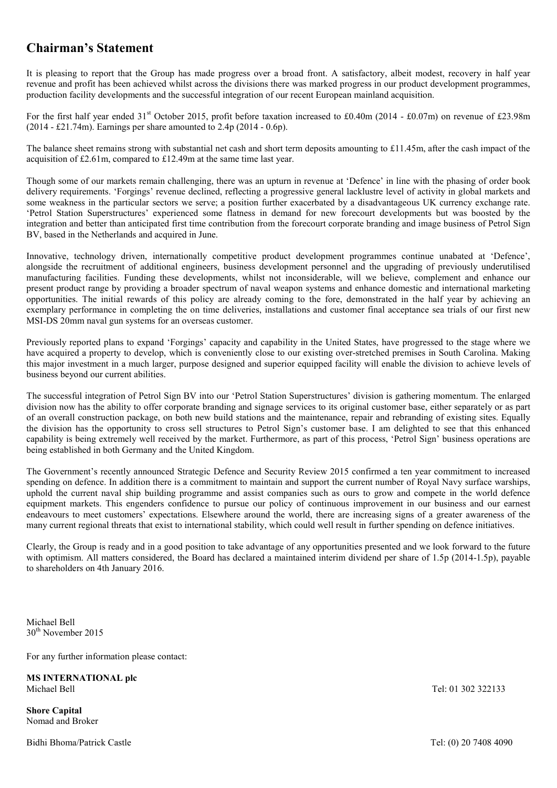# Chairman's Statement

It is pleasing to report that the Group has made progress over a broad front. A satisfactory, albeit modest, recovery in half year revenue and profit has been achieved whilst across the divisions there was marked progress in our product development programmes, production facility developments and the successful integration of our recent European mainland acquisition.

For the first half year ended 31<sup>st</sup> October 2015, profit before taxation increased to £0.40m (2014 - £0.07m) on revenue of £23.98m (2014 - £21.74m). Earnings per share amounted to 2.4p (2014 - 0.6p).

The balance sheet remains strong with substantial net cash and short term deposits amounting to £11.45m, after the cash impact of the acquisition of £2.61m, compared to £12.49m at the same time last year.

Though some of our markets remain challenging, there was an upturn in revenue at 'Defence' in line with the phasing of order book delivery requirements. 'Forgings' revenue declined, reflecting a progressive general lacklustre level of activity in global markets and some weakness in the particular sectors we serve; a position further exacerbated by a disadvantageous UK currency exchange rate. 'Petrol Station Superstructures' experienced some flatness in demand for new forecourt developments but was boosted by the integration and better than anticipated first time contribution from the forecourt corporate branding and image business of Petrol Sign BV, based in the Netherlands and acquired in June.

Innovative, technology driven, internationally competitive product development programmes continue unabated at 'Defence', alongside the recruitment of additional engineers, business development personnel and the upgrading of previously underutilised manufacturing facilities. Funding these developments, whilst not inconsiderable, will we believe, complement and enhance our present product range by providing a broader spectrum of naval weapon systems and enhance domestic and international marketing opportunities. The initial rewards of this policy are already coming to the fore, demonstrated in the half year by achieving an exemplary performance in completing the on time deliveries, installations and customer final acceptance sea trials of our first new MSI-DS 20mm naval gun systems for an overseas customer.

Previously reported plans to expand 'Forgings' capacity and capability in the United States, have progressed to the stage where we have acquired a property to develop, which is conveniently close to our existing over-stretched premises in South Carolina. Making this major investment in a much larger, purpose designed and superior equipped facility will enable the division to achieve levels of business beyond our current abilities.

The successful integration of Petrol Sign BV into our 'Petrol Station Superstructures' division is gathering momentum. The enlarged division now has the ability to offer corporate branding and signage services to its original customer base, either separately or as part of an overall construction package, on both new build stations and the maintenance, repair and rebranding of existing sites. Equally the division has the opportunity to cross sell structures to Petrol Sign's customer base. I am delighted to see that this enhanced capability is being extremely well received by the market. Furthermore, as part of this process, 'Petrol Sign' business operations are being established in both Germany and the United Kingdom.

The Government's recently announced Strategic Defence and Security Review 2015 confirmed a ten year commitment to increased spending on defence. In addition there is a commitment to maintain and support the current number of Royal Navy surface warships, uphold the current naval ship building programme and assist companies such as ours to grow and compete in the world defence equipment markets. This engenders confidence to pursue our policy of continuous improvement in our business and our earnest endeavours to meet customers' expectations. Elsewhere around the world, there are increasing signs of a greater awareness of the many current regional threats that exist to international stability, which could well result in further spending on defence initiatives.

Clearly, the Group is ready and in a good position to take advantage of any opportunities presented and we look forward to the future with optimism. All matters considered, the Board has declared a maintained interim dividend per share of 1.5p (2014-1.5p), payable to shareholders on 4th January 2016.

Michael Bell 30<sup>th</sup> November 2015

For any further information please contact:

**MS INTERNATIONAL plc**<br>Michael Bell

Shore Capital Nomad and Broker

Bidhi Bhoma/Patrick Castle Tel: (0) 20 7408 4090

Tel: 01 302 322133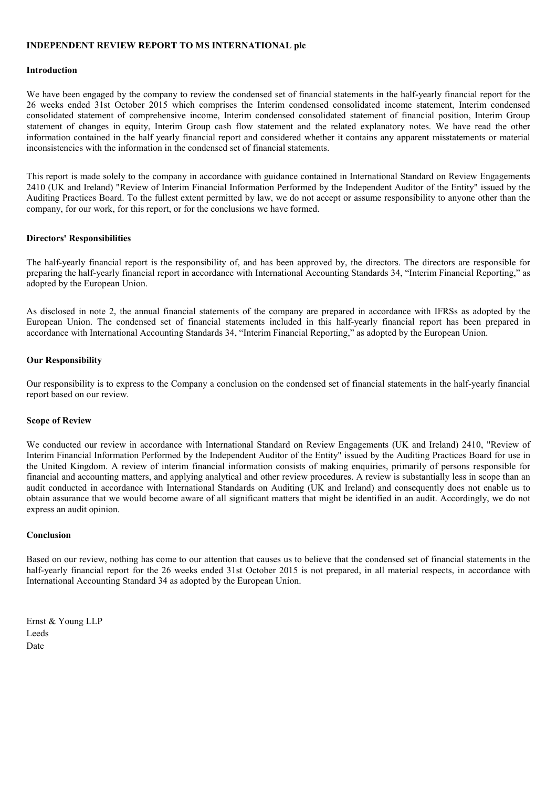## INDEPENDENT REVIEW REPORT TO MS INTERNATIONAL plc

#### Introduction

We have been engaged by the company to review the condensed set of financial statements in the half-yearly financial report for the 26 weeks ended 31st October 2015 which comprises the Interim condensed consolidated income statement, Interim condensed consolidated statement of comprehensive income, Interim condensed consolidated statement of financial position, Interim Group statement of changes in equity, Interim Group cash flow statement and the related explanatory notes. We have read the other information contained in the half yearly financial report and considered whether it contains any apparent misstatements or material inconsistencies with the information in the condensed set of financial statements.

This report is made solely to the company in accordance with guidance contained in International Standard on Review Engagements 2410 (UK and Ireland) "Review of Interim Financial Information Performed by the Independent Auditor of the Entity" issued by the Auditing Practices Board. To the fullest extent permitted by law, we do not accept or assume responsibility to anyone other than the company, for our work, for this report, or for the conclusions we have formed.

#### Directors' Responsibilities

The half-yearly financial report is the responsibility of, and has been approved by, the directors. The directors are responsible for preparing the half-yearly financial report in accordance with International Accounting Standards 34, "Interim Financial Reporting," as adopted by the European Union.

As disclosed in note 2, the annual financial statements of the company are prepared in accordance with IFRSs as adopted by the European Union. The condensed set of financial statements included in this half-yearly financial report has been prepared in accordance with International Accounting Standards 34, "Interim Financial Reporting," as adopted by the European Union.

#### Our Responsibility

Our responsibility is to express to the Company a conclusion on the condensed set of financial statements in the half-yearly financial report based on our review.

## Scope of Review

We conducted our review in accordance with International Standard on Review Engagements (UK and Ireland) 2410, "Review of Interim Financial Information Performed by the Independent Auditor of the Entity" issued by the Auditing Practices Board for use in the United Kingdom. A review of interim financial information consists of making enquiries, primarily of persons responsible for financial and accounting matters, and applying analytical and other review procedures. A review is substantially less in scope than an audit conducted in accordance with International Standards on Auditing (UK and Ireland) and consequently does not enable us to obtain assurance that we would become aware of all significant matters that might be identified in an audit. Accordingly, we do not express an audit opinion.

#### Conclusion

Based on our review, nothing has come to our attention that causes us to believe that the condensed set of financial statements in the half-yearly financial report for the 26 weeks ended 31st October 2015 is not prepared, in all material respects, in accordance with International Accounting Standard 34 as adopted by the European Union.

Ernst & Young LLP Leeds Date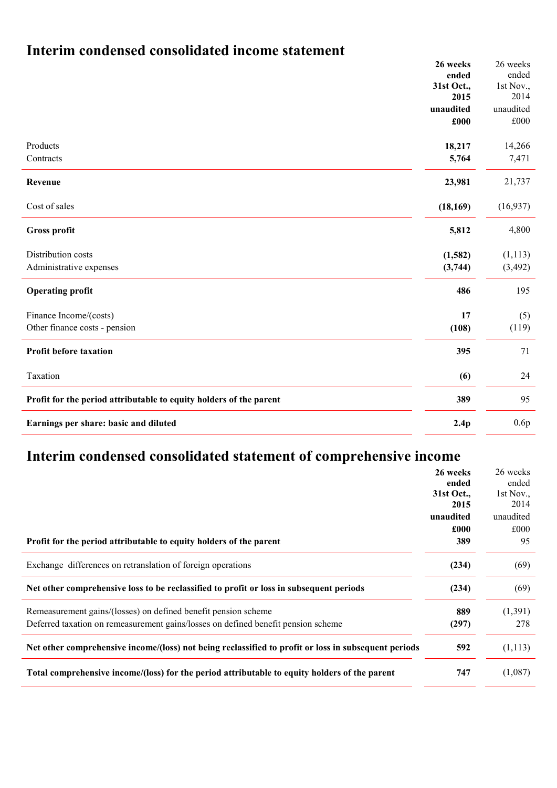# Interim condensed consolidated income statement

|                                                                    | 26 weeks            | 26 weeks           |
|--------------------------------------------------------------------|---------------------|--------------------|
|                                                                    | ended<br>31st Oct., | ended<br>1st Nov., |
|                                                                    | 2015                | 2014               |
|                                                                    | unaudited           | unaudited          |
|                                                                    | £000                | $\pounds000$       |
|                                                                    |                     |                    |
| Products                                                           | 18,217              | 14,266             |
| Contracts                                                          | 5,764               | 7,471              |
|                                                                    |                     |                    |
| Revenue                                                            | 23,981              | 21,737             |
|                                                                    |                     |                    |
| Cost of sales                                                      | (18, 169)           | (16, 937)          |
| Gross profit                                                       | 5,812               | 4,800              |
|                                                                    |                     |                    |
| Distribution costs                                                 | (1, 582)            | (1, 113)           |
| Administrative expenses                                            | (3,744)             | (3, 492)           |
| <b>Operating profit</b>                                            | 486                 | 195                |
|                                                                    |                     |                    |
| Finance Income/(costs)                                             | 17                  | (5)                |
| Other finance costs - pension                                      | (108)               | (119)              |
|                                                                    |                     |                    |
| Profit before taxation                                             | 395                 | 71                 |
| Taxation                                                           | (6)                 | 24                 |
|                                                                    |                     | 95                 |
| Profit for the period attributable to equity holders of the parent | 389                 |                    |
| Earnings per share: basic and diluted                              | 2.4p                | 0.6p               |

# Interim condensed consolidated statement of comprehensive income

|                                                                                                      | 26 weeks   | 26 weeks  |
|------------------------------------------------------------------------------------------------------|------------|-----------|
|                                                                                                      | ended      | ended     |
|                                                                                                      | 31st Oct., | 1st Nov., |
|                                                                                                      | 2015       | 2014      |
|                                                                                                      | unaudited  | unaudited |
|                                                                                                      | £000       | £000      |
| Profit for the period attributable to equity holders of the parent                                   | 389        | 95        |
| Exchange differences on retranslation of foreign operations                                          | (234)      | (69)      |
| Net other comprehensive loss to be reclassified to profit or loss in subsequent periods              | (234)      | (69)      |
| Remeasurement gains/(losses) on defined benefit pension scheme                                       | 889        | (1,391)   |
| Deferred taxation on remeasurement gains/losses on defined benefit pension scheme                    | (297)      | 278       |
| Net other comprehensive income/(loss) not being reclassified to profit or loss in subsequent periods | 592        | (1, 113)  |
| Total comprehensive income/(loss) for the period attributable to equity holders of the parent        | 747        | (1,087)   |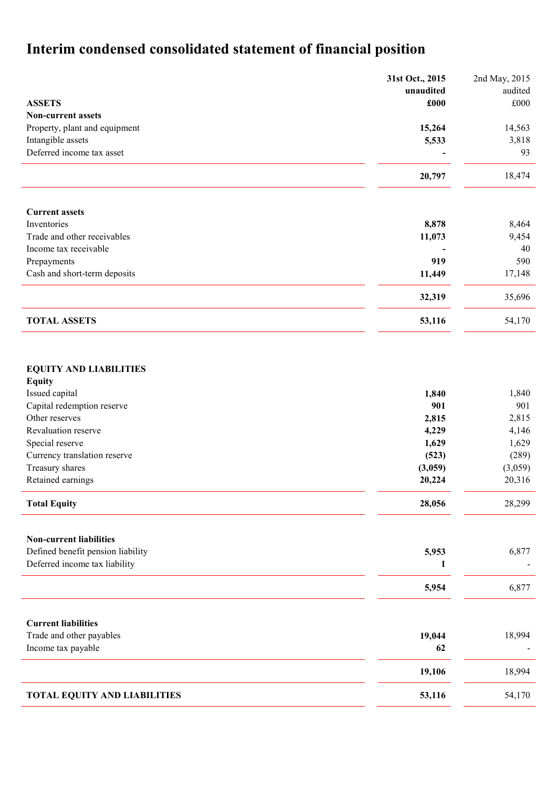# Interim condensed consolidated statement of financial position

|                                                                                                                                                                                                               | 31st Oct., 2015                                             | 2nd May, 2015                                               |
|---------------------------------------------------------------------------------------------------------------------------------------------------------------------------------------------------------------|-------------------------------------------------------------|-------------------------------------------------------------|
| <b>ASSETS</b>                                                                                                                                                                                                 | unaudited<br>£000                                           | audited<br>£000                                             |
| <b>Non-current assets</b>                                                                                                                                                                                     |                                                             |                                                             |
| Property, plant and equipment                                                                                                                                                                                 | 15,264                                                      | 14,563                                                      |
| Intangible assets                                                                                                                                                                                             | 5,533                                                       | 3,818                                                       |
| Deferred income tax asset                                                                                                                                                                                     |                                                             | 93                                                          |
|                                                                                                                                                                                                               |                                                             |                                                             |
|                                                                                                                                                                                                               | 20,797                                                      | 18,474                                                      |
| <b>Current assets</b>                                                                                                                                                                                         |                                                             |                                                             |
| Inventories                                                                                                                                                                                                   | 8,878                                                       | 8,464                                                       |
| Trade and other receivables                                                                                                                                                                                   | 11,073                                                      | 9,454                                                       |
| Income tax receivable                                                                                                                                                                                         |                                                             | 40                                                          |
| Prepayments                                                                                                                                                                                                   | 919                                                         | 590                                                         |
| Cash and short-term deposits                                                                                                                                                                                  | 11,449                                                      | 17,148                                                      |
|                                                                                                                                                                                                               | 32,319                                                      | 35,696                                                      |
| <b>TOTAL ASSETS</b>                                                                                                                                                                                           | 53,116                                                      | 54,170                                                      |
| <b>EQUITY AND LIABILITIES</b><br><b>Equity</b><br>Issued capital<br>Capital redemption reserve<br>Other reserves<br>Revaluation reserve<br>Special reserve<br>Currency translation reserve<br>Treasury shares | 1,840<br>901<br>2,815<br>4,229<br>1,629<br>(523)<br>(3,059) | 1,840<br>901<br>2,815<br>4,146<br>1,629<br>(289)<br>(3,059) |
| Retained earnings                                                                                                                                                                                             | 20,224                                                      | 20,316                                                      |
| <b>Total Equity</b>                                                                                                                                                                                           | 28,056                                                      | 28,299                                                      |
| <b>Non-current liabilities</b><br>Defined benefit pension liability<br>Deferred income tax liability                                                                                                          | 5,953<br>1                                                  | 6,877                                                       |
|                                                                                                                                                                                                               |                                                             |                                                             |
|                                                                                                                                                                                                               | 5,954                                                       | 6,877                                                       |
| <b>Current liabilities</b><br>Trade and other payables<br>Income tax payable                                                                                                                                  | 19,044<br>62                                                | 18,994                                                      |
|                                                                                                                                                                                                               | 19,106                                                      | 18,994                                                      |
| TOTAL EQUITY AND LIABILITIES                                                                                                                                                                                  | 53,116                                                      | 54,170                                                      |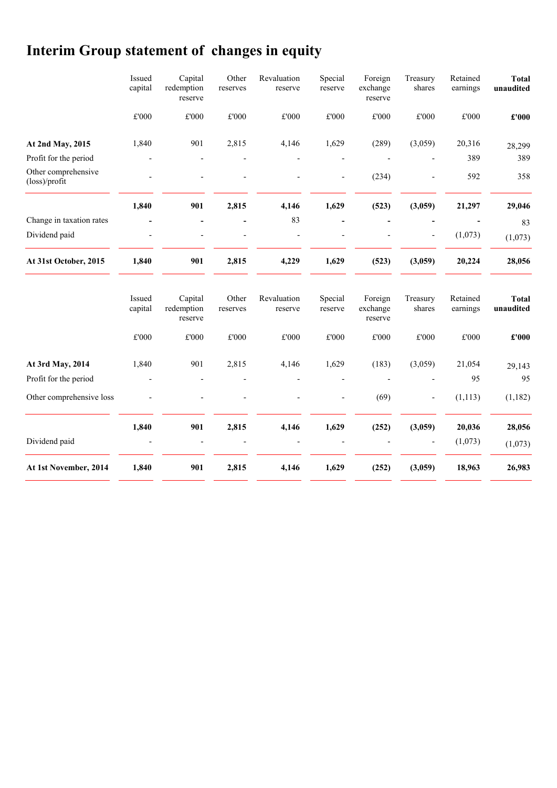# Interim Group statement of changes in equity

|                                      | Issued<br>capital | Capital<br>redemption<br>reserve | Other<br>reserves | Revaluation<br>reserve | Special<br>reserve       | Foreign<br>exchange<br>reserve | Treasury<br>shares       | Retained<br>earnings | <b>Total</b><br>unaudited |
|--------------------------------------|-------------------|----------------------------------|-------------------|------------------------|--------------------------|--------------------------------|--------------------------|----------------------|---------------------------|
|                                      | $\pounds 000$     | $\pounds 000$                    | $\pounds 000$     | $\pounds 000$          | $\pounds 000$            | $\pounds 000$                  | $\pounds 000$            | $\pounds 000$        | £'000                     |
| At 2nd May, 2015                     | 1,840             | 901                              | 2,815             | 4,146                  | 1,629                    | (289)                          | (3,059)                  | 20,316               | 28,299                    |
| Profit for the period                |                   |                                  |                   |                        |                          |                                |                          | 389                  | 389                       |
| Other comprehensive<br>(loss)/profit |                   |                                  |                   |                        | $\overline{\phantom{a}}$ | (234)                          |                          | 592                  | 358                       |
|                                      | 1,840             | 901                              | 2,815             | 4,146                  | 1,629                    | (523)                          | (3,059)                  | 21,297               | 29,046                    |
| Change in taxation rates             |                   |                                  |                   | 83                     |                          |                                |                          |                      | 83                        |
| Dividend paid                        |                   |                                  |                   |                        |                          |                                | $\overline{\phantom{a}}$ | (1,073)              | (1,073)                   |
| At 31st October, 2015                | 1,840             | 901                              | 2,815             | 4,229                  | 1,629                    | (523)                          | (3,059)                  | 20,224               | 28,056                    |
|                                      | Issued<br>capital | Capital<br>redemption<br>reserve | Other<br>reserves | Revaluation<br>reserve | Special<br>reserve       | Foreign<br>exchange<br>reserve | Treasury<br>shares       | Retained<br>earnings | <b>Total</b><br>unaudited |
|                                      | $\pounds 000$     | $\pounds 000$                    | $\pounds 000$     | $\pounds 000$          | $\pounds 000$            | £'000                          | £'000                    | $\pounds 000$        | $\pounds$ '000            |
| At 3rd May, 2014                     | 1,840             | 901                              | 2,815             | 4,146                  | 1,629                    | (183)                          | (3,059)                  | 21,054               | 29,143                    |
| Profit for the period                |                   |                                  |                   |                        |                          |                                |                          | 95                   | 95                        |
| Other comprehensive loss             |                   |                                  |                   |                        |                          | (69)                           | $\overline{\phantom{a}}$ | (1, 113)             | (1,182)                   |
|                                      | 1,840             | 901                              | 2,815             | 4,146                  | 1,629                    | (252)                          | (3,059)                  | 20,036               | 28,056                    |
| Dividend paid                        |                   |                                  |                   |                        |                          |                                | $\overline{\phantom{a}}$ | (1,073)              | (1,073)                   |
| At 1st November, 2014                | 1,840             | 901                              | 2,815             | 4,146                  | 1,629                    | (252)                          | (3,059)                  | 18,963               | 26,983                    |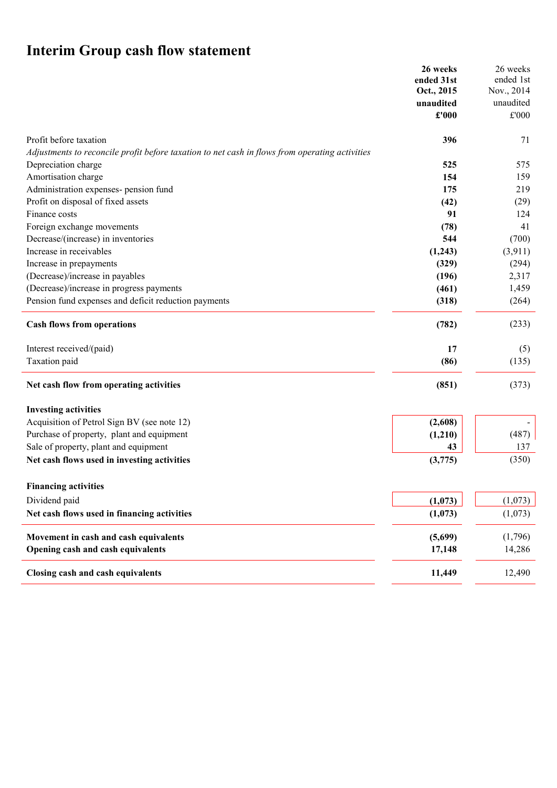# Interim Group cash flow statement

|                                                                                                                       | 26 weeks<br>ended 31st<br>Oct., 2015<br>unaudited<br>£'000 | 26 weeks<br>ended 1st<br>Nov., 2014<br>unaudited<br>£'000 |
|-----------------------------------------------------------------------------------------------------------------------|------------------------------------------------------------|-----------------------------------------------------------|
| Profit before taxation                                                                                                | 396                                                        | 71                                                        |
| Adjustments to reconcile profit before taxation to net cash in flows from operating activities<br>Depreciation charge | 525                                                        | 575                                                       |
| Amortisation charge                                                                                                   | 154                                                        | 159                                                       |
| Administration expenses- pension fund                                                                                 | 175                                                        | 219                                                       |
| Profit on disposal of fixed assets                                                                                    | (42)                                                       | (29)                                                      |
| Finance costs                                                                                                         | 91                                                         | 124                                                       |
| Foreign exchange movements                                                                                            | (78)                                                       | 41                                                        |
| Decrease/(increase) in inventories                                                                                    | 544                                                        | (700)                                                     |
| Increase in receivables                                                                                               | (1,243)                                                    | (3,911)                                                   |
| Increase in prepayments                                                                                               | (329)                                                      | (294)                                                     |
| (Decrease)/increase in payables                                                                                       | (196)                                                      | 2,317                                                     |
| (Decrease)/increase in progress payments                                                                              | (461)                                                      | 1,459                                                     |
| Pension fund expenses and deficit reduction payments                                                                  | (318)                                                      | (264)                                                     |
| <b>Cash flows from operations</b>                                                                                     | (782)                                                      | (233)                                                     |
| Interest received/(paid)                                                                                              | 17                                                         | (5)                                                       |
| <b>Taxation</b> paid                                                                                                  | (86)                                                       | (135)                                                     |
| Net cash flow from operating activities                                                                               | (851)                                                      | (373)                                                     |
| <b>Investing activities</b>                                                                                           |                                                            |                                                           |
| Acquisition of Petrol Sign BV (see note 12)                                                                           | (2,608)                                                    |                                                           |
| Purchase of property, plant and equipment                                                                             | (1,210)                                                    | (487)                                                     |
| Sale of property, plant and equipment                                                                                 | 43                                                         | 137                                                       |
| Net cash flows used in investing activities                                                                           | (3,775)                                                    | (350)                                                     |
| <b>Financing activities</b>                                                                                           |                                                            |                                                           |
| Dividend paid                                                                                                         | (1,073)                                                    | (1,073)                                                   |
| Net cash flows used in financing activities                                                                           | (1,073)                                                    | (1,073)                                                   |
| Movement in cash and cash equivalents                                                                                 | (5,699)                                                    | (1,796)                                                   |
| Opening cash and cash equivalents                                                                                     | 17,148                                                     | 14,286                                                    |
| Closing cash and cash equivalents                                                                                     | 11,449                                                     | 12,490                                                    |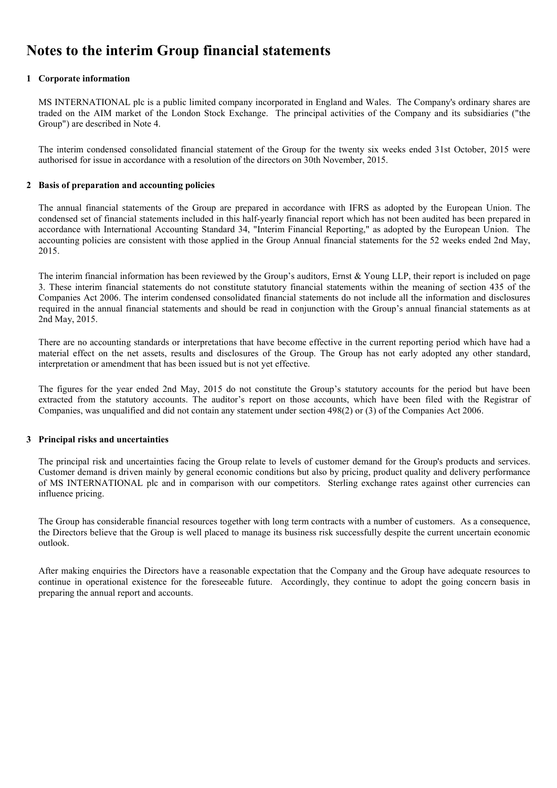# Notes to the interim Group financial statements

# 1 Corporate information

MS INTERNATIONAL plc is a public limited company incorporated in England and Wales. The Company's ordinary shares are traded on the AIM market of the London Stock Exchange. The principal activities of the Company and its subsidiaries ("the Group") are described in Note 4.

The interim condensed consolidated financial statement of the Group for the twenty six weeks ended 31st October, 2015 were authorised for issue in accordance with a resolution of the directors on 30th November, 2015.

# 2 Basis of preparation and accounting policies

The annual financial statements of the Group are prepared in accordance with IFRS as adopted by the European Union. The condensed set of financial statements included in this half-yearly financial report which has not been audited has been prepared in accordance with International Accounting Standard 34, "Interim Financial Reporting," as adopted by the European Union. The accounting policies are consistent with those applied in the Group Annual financial statements for the 52 weeks ended 2nd May, 2015.

The interim financial information has been reviewed by the Group's auditors, Ernst & Young LLP, their report is included on page 3. These interim financial statements do not constitute statutory financial statements within the meaning of section 435 of the Companies Act 2006. The interim condensed consolidated financial statements do not include all the information and disclosures required in the annual financial statements and should be read in conjunction with the Group's annual financial statements as at 2nd May, 2015.

There are no accounting standards or interpretations that have become effective in the current reporting period which have had a material effect on the net assets, results and disclosures of the Group. The Group has not early adopted any other standard, interpretation or amendment that has been issued but is not yet effective.

The figures for the year ended 2nd May, 2015 do not constitute the Group's statutory accounts for the period but have been extracted from the statutory accounts. The auditor's report on those accounts, which have been filed with the Registrar of Companies, was unqualified and did not contain any statement under section 498(2) or (3) of the Companies Act 2006.

# 3 Principal risks and uncertainties

The principal risk and uncertainties facing the Group relate to levels of customer demand for the Group's products and services. Customer demand is driven mainly by general economic conditions but also by pricing, product quality and delivery performance of MS INTERNATIONAL plc and in comparison with our competitors. Sterling exchange rates against other currencies can influence pricing.

The Group has considerable financial resources together with long term contracts with a number of customers. As a consequence, the Directors believe that the Group is well placed to manage its business risk successfully despite the current uncertain economic outlook.

After making enquiries the Directors have a reasonable expectation that the Company and the Group have adequate resources to continue in operational existence for the foreseeable future. Accordingly, they continue to adopt the going concern basis in preparing the annual report and accounts.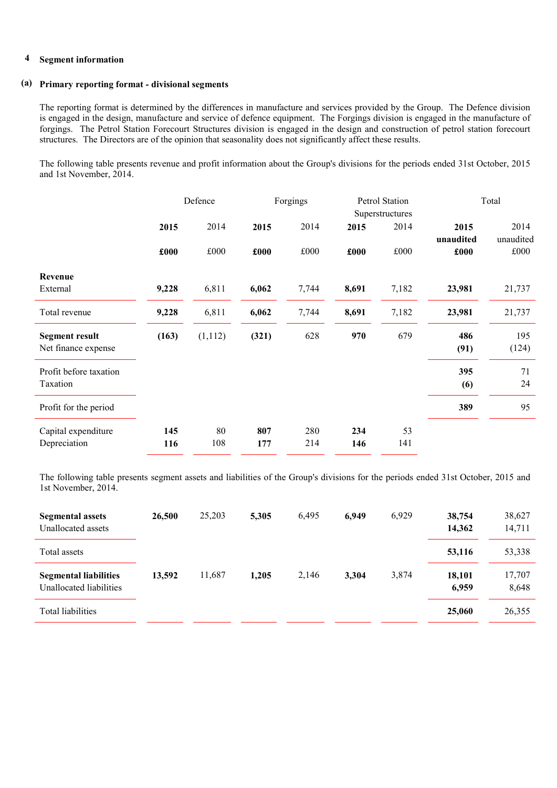# 4 Segment information

## (a) Primary reporting format - divisional segments

The reporting format is determined by the differences in manufacture and services provided by the Group. The Defence division is engaged in the design, manufacture and service of defence equipment. The Forgings division is engaged in the manufacture of forgings. The Petrol Station Forecourt Structures division is engaged in the design and construction of petrol station forecourt structures. The Directors are of the opinion that seasonality does not significantly affect these results.

The following table presents revenue and profit information about the Group's divisions for the periods ended 31st October, 2015 and 1st November, 2014.

|                                              | Defence      |              |              | Forgings     |              | Petrol Station<br>Superstructures | Total                     |                           |
|----------------------------------------------|--------------|--------------|--------------|--------------|--------------|-----------------------------------|---------------------------|---------------------------|
|                                              | 2015<br>£000 | 2014<br>£000 | 2015<br>£000 | 2014<br>£000 | 2015<br>£000 | 2014<br>£000                      | 2015<br>unaudited<br>£000 | 2014<br>unaudited<br>£000 |
| Revenue                                      |              |              |              |              |              |                                   |                           |                           |
| External                                     | 9,228        | 6,811        | 6,062        | 7,744        | 8,691        | 7,182                             | 23,981                    | 21,737                    |
| Total revenue                                | 9,228        | 6,811        | 6,062        | 7,744        | 8,691        | 7,182                             | 23,981                    | 21,737                    |
| <b>Segment result</b><br>Net finance expense | (163)        | (1,112)      | (321)        | 628          | 970          | 679                               | 486<br>(91)               | 195<br>(124)              |
| Profit before taxation                       |              |              |              |              |              |                                   | 395                       | 71                        |
| Taxation                                     |              |              |              |              |              |                                   | (6)                       | 24                        |
| Profit for the period                        |              |              |              |              |              |                                   | 389                       | 95                        |
| Capital expenditure                          | 145          | 80           | 807          | 280          | 234          | 53                                |                           |                           |
| Depreciation                                 | 116          | 108          | 177          | 214          | 146          | 141                               |                           |                           |

The following table presents segment assets and liabilities of the Group's divisions for the periods ended 31st October, 2015 and 1st November, 2014.

| <b>Segmental assets</b><br>Unallocated assets           | 26,500 | 25,203 | 5,305 | 6,495 | 6,949 | 6,929 | 38,754<br>14,362 | 38,627<br>14,711 |
|---------------------------------------------------------|--------|--------|-------|-------|-------|-------|------------------|------------------|
| Total assets                                            |        |        |       |       |       |       | 53,116           | 53,338           |
| <b>Segmental liabilities</b><br>Unallocated liabilities | 13,592 | 11,687 | 1,205 | 2,146 | 3,304 | 3,874 | 18,101<br>6,959  | 17,707<br>8,648  |
| Total liabilities                                       |        |        |       |       |       |       | 25,060           | 26,355           |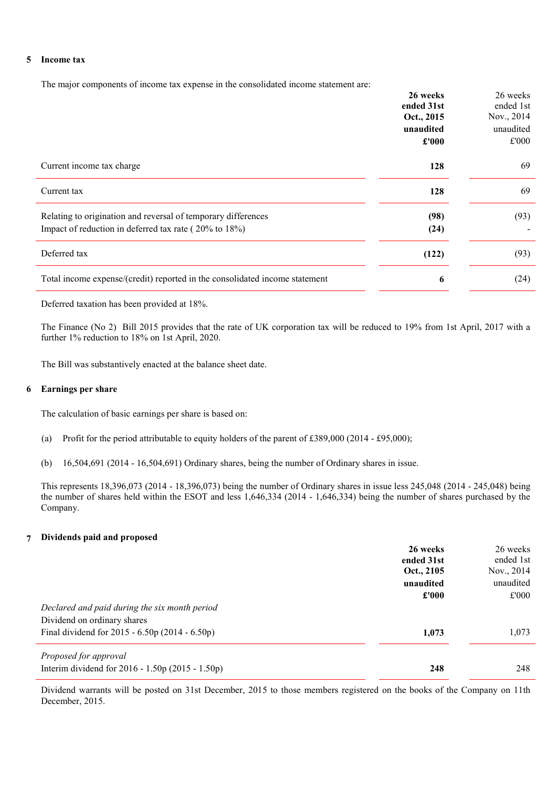#### 5 Income tax

The major components of income tax expense in the consolidated income statement are:

|                                                                             | 26 weeks<br>ended 31st | 26 weeks<br>ended 1st |
|-----------------------------------------------------------------------------|------------------------|-----------------------|
|                                                                             | Oct., 2015             | Nov., 2014            |
|                                                                             | unaudited              | unaudited             |
|                                                                             | £'000                  | £'000                 |
| Current income tax charge                                                   | 128                    | 69                    |
| Current tax                                                                 | 128                    | 69                    |
| Relating to origination and reversal of temporary differences               | (98)                   | (93)                  |
| Impact of reduction in deferred tax rate $(20\%$ to 18%)                    | (24)                   |                       |
| Deferred tax                                                                | (122)                  | (93)                  |
| Total income expense/(credit) reported in the consolidated income statement | 6                      | (24)                  |

Deferred taxation has been provided at 18%.

The Finance (No 2) Bill 2015 provides that the rate of UK corporation tax will be reduced to 19% from 1st April, 2017 with a further 1% reduction to 18% on 1st April, 2020.

The Bill was substantively enacted at the balance sheet date.

## 6 Earnings per share

The calculation of basic earnings per share is based on:

- (a) Profit for the period attributable to equity holders of the parent of £389,000 (2014 £95,000);
- (b) 16,504,691 (2014 16,504,691) Ordinary shares, being the number of Ordinary shares in issue.

This represents 18,396,073 (2014 - 18,396,073) being the number of Ordinary shares in issue less 245,048 (2014 - 245,048) being the number of shares held within the ESOT and less 1,646,334 (2014 - 1,646,334) being the number of shares purchased by the Company.

# 7 Dividends paid and proposed

|                                                                            | 26 weeks<br>ended 31st<br>Oct., 2105 | 26 weeks<br>ended 1st<br>Nov., 2014 |
|----------------------------------------------------------------------------|--------------------------------------|-------------------------------------|
|                                                                            | unaudited                            | unaudited                           |
|                                                                            | £'000                                | £'000                               |
| Declared and paid during the six month period                              |                                      |                                     |
| Dividend on ordinary shares                                                |                                      |                                     |
| Final dividend for $2015 - 6.50p(2014 - 6.50p)$                            | 1,073                                | 1,073                               |
| Proposed for approval<br>Interim dividend for $2016 - 1.50p(2015 - 1.50p)$ | 248                                  | 248                                 |

Dividend warrants will be posted on 31st December, 2015 to those members registered on the books of the Company on 11th December, 2015.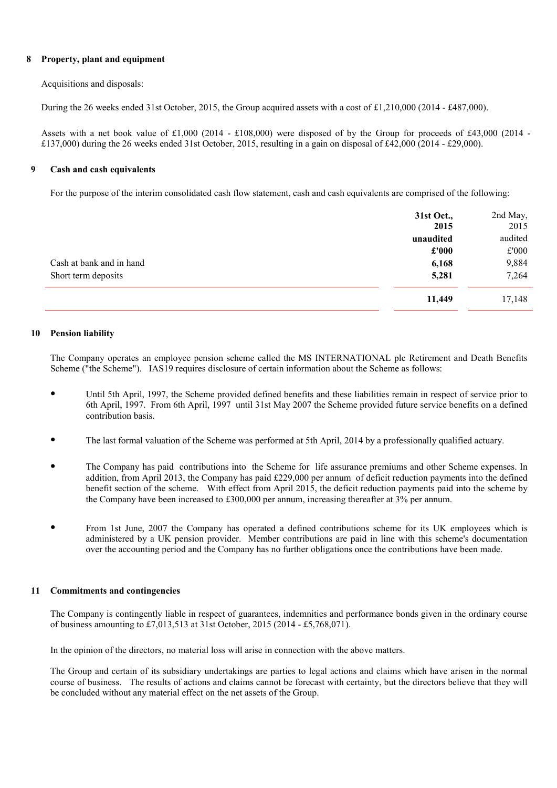## 8 Property, plant and equipment

Acquisitions and disposals:

During the 26 weeks ended 31st October, 2015, the Group acquired assets with a cost of £1,210,000 (2014 - £487,000).

Assets with a net book value of £1,000 (2014 - £108,000) were disposed of by the Group for proceeds of £43,000 (2014 -  $£137,000$  during the 26 weeks ended 31st October, 2015, resulting in a gain on disposal of £42,000 (2014 - £29,000).

## 9 Cash and cash equivalents

For the purpose of the interim consolidated cash flow statement, cash and cash equivalents are comprised of the following:

|                          | 31st Oct.,<br>2015 | 2nd May,<br>2015 |
|--------------------------|--------------------|------------------|
|                          | unaudited          | audited          |
|                          | £'000              | £'000            |
| Cash at bank and in hand | 6,168              | 9,884            |
| Short term deposits      | 5,281              | 7,264            |
|                          | 11,449             | 17,148           |

#### 10 Pension liability

The Company operates an employee pension scheme called the MS INTERNATIONAL plc Retirement and Death Benefits Scheme ("the Scheme"). IAS19 requires disclosure of certain information about the Scheme as follows:

- Until 5th April, 1997, the Scheme provided defined benefits and these liabilities remain in respect of service prior to 6th April, 1997. From 6th April, 1997 until 31st May 2007 the Scheme provided future service benefits on a defined contribution basis.
- The last formal valuation of the Scheme was performed at 5th April, 2014 by a professionally qualified actuary.
- The Company has paid contributions into the Scheme for life assurance premiums and other Scheme expenses. In addition, from April 2013, the Company has paid £229,000 per annum of deficit reduction payments into the defined benefit section of the scheme. With effect from April 2015, the deficit reduction payments paid into the scheme by the Company have been increased to £300,000 per annum, increasing thereafter at 3% per annum.
- From 1st June, 2007 the Company has operated a defined contributions scheme for its UK employees which is administered by a UK pension provider. Member contributions are paid in line with this scheme's documentation over the accounting period and the Company has no further obligations once the contributions have been made.

## 11 Commitments and contingencies

The Company is contingently liable in respect of guarantees, indemnities and performance bonds given in the ordinary course of business amounting to £7,013,513 at 31st October, 2015 (2014 - £5,768,071).

In the opinion of the directors, no material loss will arise in connection with the above matters.

The Group and certain of its subsidiary undertakings are parties to legal actions and claims which have arisen in the normal course of business. The results of actions and claims cannot be forecast with certainty, but the directors believe that they will be concluded without any material effect on the net assets of the Group.